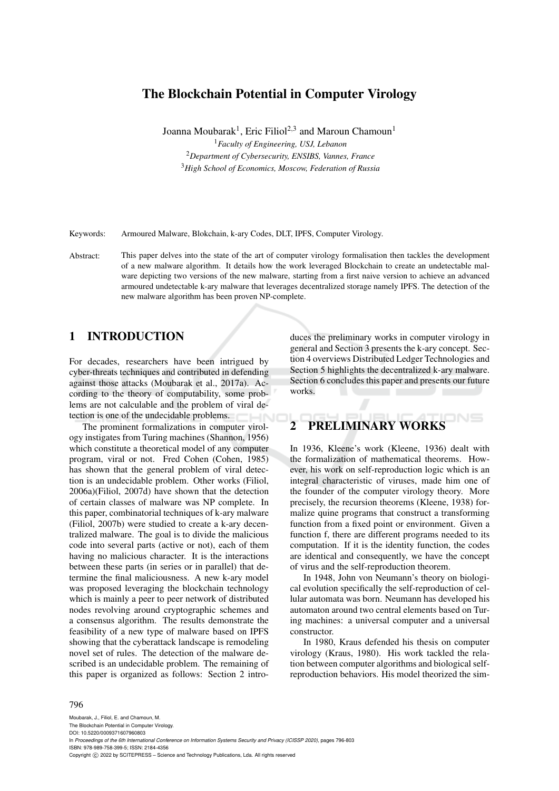# The Blockchain Potential in Computer Virology

Joanna Moubarak<sup>1</sup>, Eric Filiol<sup>2,3</sup> and Maroun Chamoun<sup>1</sup> *Faculty of Engineering, USJ, Lebanon Department of Cybersecurity, ENSIBS, Vannes, France High School of Economics, Moscow, Federation of Russia*

Keywords: Armoured Malware, Blokchain, k-ary Codes, DLT, IPFS, Computer Virology.

Abstract: This paper delves into the state of the art of computer virology formalisation then tackles the development of a new malware algorithm. It details how the work leveraged Blockchain to create an undetectable malware depicting two versions of the new malware, starting from a first naive version to achieve an advanced armoured undetectable k-ary malware that leverages decentralized storage namely IPFS. The detection of the new malware algorithm has been proven NP-complete.

## 1 INTRODUCTION

For decades, researchers have been intrigued by cyber-threats techniques and contributed in defending against those attacks (Moubarak et al., 2017a). According to the theory of computability, some problems are not calculable and the problem of viral detection is one of the undecidable problems.

The prominent formalizations in computer virology instigates from Turing machines (Shannon, 1956) which constitute a theoretical model of any computer program, viral or not. Fred Cohen (Cohen, 1985) has shown that the general problem of viral detection is an undecidable problem. Other works (Filiol, 2006a)(Filiol, 2007d) have shown that the detection of certain classes of malware was NP complete. In this paper, combinatorial techniques of k-ary malware (Filiol, 2007b) were studied to create a k-ary decentralized malware. The goal is to divide the malicious code into several parts (active or not), each of them having no malicious character. It is the interactions between these parts (in series or in parallel) that determine the final maliciousness. A new k-ary model was proposed leveraging the blockchain technology which is mainly a peer to peer network of distributed nodes revolving around cryptographic schemes and a consensus algorithm. The results demonstrate the feasibility of a new type of malware based on IPFS showing that the cyberattack landscape is remodeling novel set of rules. The detection of the malware described is an undecidable problem. The remaining of this paper is organized as follows: Section 2 intro-

duces the preliminary works in computer virology in general and Section 3 presents the k-ary concept. Section 4 overviews Distributed Ledger Technologies and Section 5 highlights the decentralized k-ary malware. Section 6 concludes this paper and presents our future works.

#### INS 2 PRELIMINARY WORKS

In 1936, Kleene's work (Kleene, 1936) dealt with the formalization of mathematical theorems. However, his work on self-reproduction logic which is an integral characteristic of viruses, made him one of the founder of the computer virology theory. More precisely, the recursion theorems (Kleene, 1938) formalize quine programs that construct a transforming function from a fixed point or environment. Given a function f, there are different programs needed to its computation. If it is the identity function, the codes are identical and consequently, we have the concept of virus and the self-reproduction theorem.

In 1948, John von Neumann's theory on biological evolution specifically the self-reproduction of cellular automata was born. Neumann has developed his automaton around two central elements based on Turing machines: a universal computer and a universal constructor.

In 1980, Kraus defended his thesis on computer virology (Kraus, 1980). His work tackled the relation between computer algorithms and biological selfreproduction behaviors. His model theorized the sim-

#### 796

Moubarak, J., Filiol, E. and Chamoun, M. The Blockchain Potential in Computer Virology. DOI: 10.5220/0009371607960803 In *Proceedings of the 6th International Conference on Information Systems Security and Privacy (ICISSP 2020)*, pages 796-803 ISBN: 978-989-758-399-5; ISSN: 2184-4356 Copyright (C) 2022 by SCITEPRESS - Science and Technology Publications, Lda. All rights reserved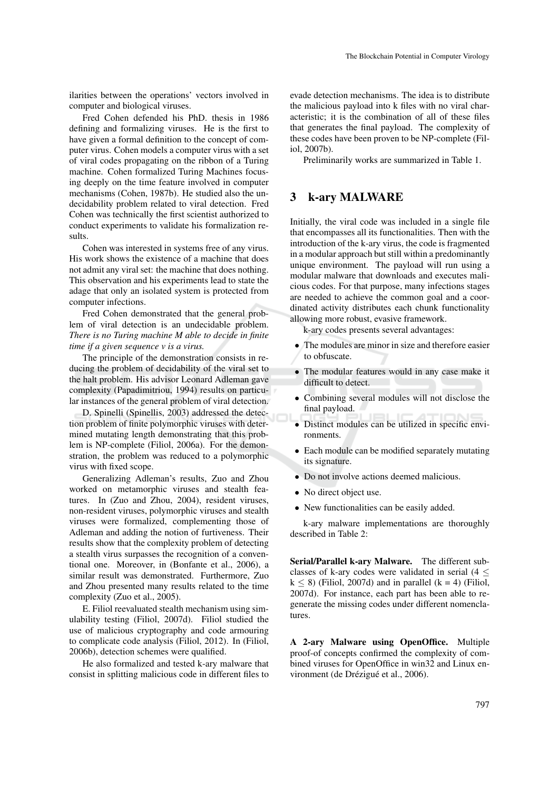ilarities between the operations' vectors involved in computer and biological viruses.

Fred Cohen defended his PhD. thesis in 1986 defining and formalizing viruses. He is the first to have given a formal definition to the concept of computer virus. Cohen models a computer virus with a set of viral codes propagating on the ribbon of a Turing machine. Cohen formalized Turing Machines focusing deeply on the time feature involved in computer mechanisms (Cohen, 1987b). He studied also the undecidability problem related to viral detection. Fred Cohen was technically the first scientist authorized to conduct experiments to validate his formalization results.

Cohen was interested in systems free of any virus. His work shows the existence of a machine that does not admit any viral set: the machine that does nothing. This observation and his experiments lead to state the adage that only an isolated system is protected from computer infections.

Fred Cohen demonstrated that the general problem of viral detection is an undecidable problem. *There is no Turing machine M able to decide in finite time if a given sequence v is a virus.*

The principle of the demonstration consists in reducing the problem of decidability of the viral set to the halt problem. His advisor Leonard Adleman gave complexity (Papadimitriou, 1994) results on particular instances of the general problem of viral detection.

D. Spinelli (Spinellis, 2003) addressed the detection problem of finite polymorphic viruses with determined mutating length demonstrating that this problem is NP-complete (Filiol, 2006a). For the demonstration, the problem was reduced to a polymorphic virus with fixed scope.

Generalizing Adleman's results, Zuo and Zhou worked on metamorphic viruses and stealth features. In (Zuo and Zhou, 2004), resident viruses, non-resident viruses, polymorphic viruses and stealth viruses were formalized, complementing those of Adleman and adding the notion of furtiveness. Their results show that the complexity problem of detecting a stealth virus surpasses the recognition of a conventional one. Moreover, in (Bonfante et al., 2006), a similar result was demonstrated. Furthermore, Zuo and Zhou presented many results related to the time complexity (Zuo et al., 2005).

E. Filiol reevaluated stealth mechanism using simulability testing (Filiol, 2007d). Filiol studied the use of malicious cryptography and code armouring to complicate code analysis (Filiol, 2012). In (Filiol, 2006b), detection schemes were qualified.

He also formalized and tested k-ary malware that consist in splitting malicious code in different files to evade detection mechanisms. The idea is to distribute the malicious payload into k files with no viral characteristic; it is the combination of all of these files that generates the final payload. The complexity of these codes have been proven to be NP-complete (Filiol, 2007b).

Preliminarily works are summarized in Table 1.

### 3 k-ary MALWARE

Initially, the viral code was included in a single file that encompasses all its functionalities. Then with the introduction of the k-ary virus, the code is fragmented in a modular approach but still within a predominantly unique environment. The payload will run using a modular malware that downloads and executes malicious codes. For that purpose, many infections stages are needed to achieve the common goal and a coordinated activity distributes each chunk functionality allowing more robust, evasive framework.

k-ary codes presents several advantages:

- The modules are minor in size and therefore easier to obfuscate.
- The modular features would in any case make it difficult to detect.
- Combining several modules will not disclose the final payload.
- Distinct modules can be utilized in specific environments.
- Each module can be modified separately mutating its signature.
- Do not involve actions deemed malicious.
- No direct object use.
- New functionalities can be easily added.

k-ary malware implementations are thoroughly described in Table 2:

Serial/Parallel k-ary Malware. The different subclasses of k-ary codes were validated in serial  $(4 \leq$  $k \le 8$ ) (Filiol, 2007d) and in parallel ( $k = 4$ ) (Filiol, 2007d). For instance, each part has been able to regenerate the missing codes under different nomenclatures.

A 2-ary Malware using OpenOffice. Multiple proof-of concepts confirmed the complexity of combined viruses for OpenOffice in win32 and Linux environment (de Drézigué et al., 2006).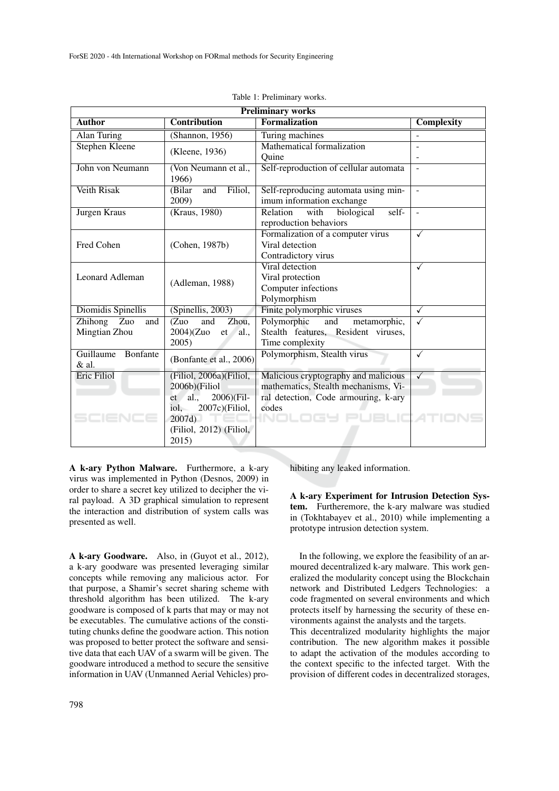| <b>Preliminary works</b>         |                                          |                                                                              |                   |  |  |  |  |
|----------------------------------|------------------------------------------|------------------------------------------------------------------------------|-------------------|--|--|--|--|
| <b>Author</b>                    | <b>Contribution</b>                      | <b>Formalization</b>                                                         | <b>Complexity</b> |  |  |  |  |
| <b>Alan Turing</b>               | (Shannon, 1956)                          | Turing machines                                                              |                   |  |  |  |  |
| <b>Stephen Kleene</b>            | (Kleene, 1936)                           | Mathematical formalization                                                   | ÷.                |  |  |  |  |
|                                  |                                          | Quine                                                                        | $\overline{a}$    |  |  |  |  |
| John von Neumann                 | (Von Neumann et al.,<br>1966)            | Self-reproduction of cellular automata                                       |                   |  |  |  |  |
| Veith Risak                      | (Bilar)<br>Filiol,<br>and<br>2009)       | Self-reproducing automata using min-<br>imum information exchange            | $\overline{a}$    |  |  |  |  |
| Jurgen Kraus                     | (Kraus, 1980)                            | Relation<br>with<br>biological<br>self-<br>reproduction behaviors            | $\sim$            |  |  |  |  |
|                                  |                                          | Formalization of a computer virus                                            | $\checkmark$      |  |  |  |  |
| Fred Cohen                       | (Cohen, 1987b)                           | Viral detection                                                              |                   |  |  |  |  |
|                                  |                                          | Contradictory virus                                                          |                   |  |  |  |  |
|                                  | (Adleman, 1988)                          | Viral detection                                                              | $\checkmark$      |  |  |  |  |
| Leonard Adleman                  |                                          | Viral protection                                                             |                   |  |  |  |  |
|                                  |                                          | Computer infections                                                          |                   |  |  |  |  |
|                                  |                                          | Polymorphism                                                                 |                   |  |  |  |  |
| Diomidis Spinellis               | (Spinellis, 2003)                        | Finite polymorphic viruses                                                   | ✓                 |  |  |  |  |
| Zhihong<br>Zuo<br>and            | and<br>(Zuo)<br>Zhou,                    | Polymorphic<br>and<br>metamorphic,                                           | $\checkmark$      |  |  |  |  |
| Mingtian Zhou                    | $2004$ ) $(Zuo$<br>$et \quad al.,$       | Stealth features, Resident viruses,                                          |                   |  |  |  |  |
|                                  | 2005)                                    | Time complexity                                                              |                   |  |  |  |  |
| Guillaume<br>Bonfante<br>$&$ al. | (Bonfante et al., 2006)                  | Polymorphism, Stealth virus                                                  | ✓                 |  |  |  |  |
| Eric Filiol                      | (Filiol, 2006a)(Filiol,<br>2006b)(Filiol | Malicious cryptography and malicious<br>mathematics, Stealth mechanisms, Vi- |                   |  |  |  |  |
|                                  | al.,<br>et                               |                                                                              |                   |  |  |  |  |
|                                  | 2006)(Fil-                               | ral detection, Code armouring, k-ary<br>codes                                |                   |  |  |  |  |
|                                  | 2007c)(Filiol,<br>iol,<br>2007d          |                                                                              |                   |  |  |  |  |
|                                  | (Filiol, 2012) (Filiol,                  |                                                                              |                   |  |  |  |  |
|                                  | 2015)                                    |                                                                              |                   |  |  |  |  |

|  |  | Table 1: Preliminary works. |
|--|--|-----------------------------|
|  |  |                             |

A k-ary Python Malware. Furthermore, a k-ary virus was implemented in Python (Desnos, 2009) in order to share a secret key utilized to decipher the viral payload. A 3D graphical simulation to represent the interaction and distribution of system calls was presented as well.

A k-ary Goodware. Also, in (Guyot et al., 2012), a k-ary goodware was presented leveraging similar concepts while removing any malicious actor. For that purpose, a Shamir's secret sharing scheme with threshold algorithm has been utilized. The k-ary goodware is composed of k parts that may or may not be executables. The cumulative actions of the constituting chunks define the goodware action. This notion was proposed to better protect the software and sensitive data that each UAV of a swarm will be given. The goodware introduced a method to secure the sensitive information in UAV (Unmanned Aerial Vehicles) prohibiting any leaked information.

A k-ary Experiment for Intrusion Detection System. Furtheremore, the k-ary malware was studied in (Tokhtabayev et al., 2010) while implementing a prototype intrusion detection system.

In the following, we explore the feasibility of an armoured decentralized k-ary malware. This work generalized the modularity concept using the Blockchain network and Distributed Ledgers Technologies: a code fragmented on several environments and which protects itself by harnessing the security of these environments against the analysts and the targets.

This decentralized modularity highlights the major contribution. The new algorithm makes it possible to adapt the activation of the modules according to the context specific to the infected target. With the provision of different codes in decentralized storages,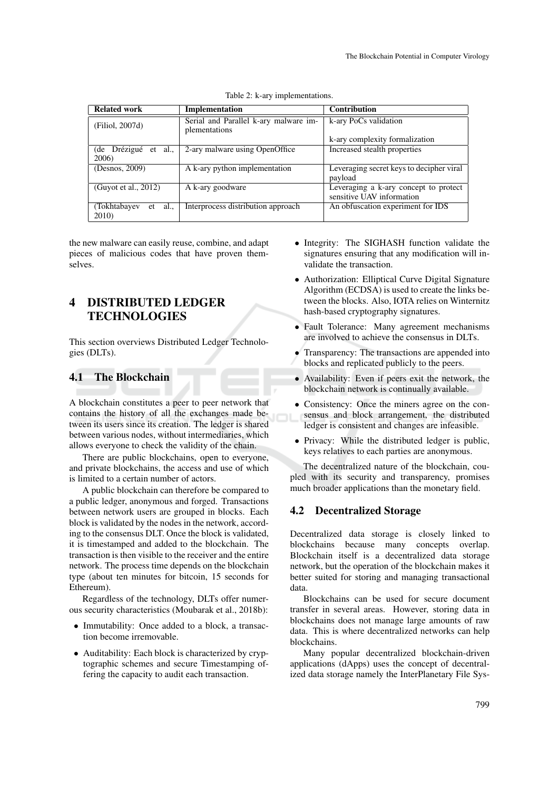| <b>Related work</b>                      | Implementation                                         | Contribution                                                       |  |
|------------------------------------------|--------------------------------------------------------|--------------------------------------------------------------------|--|
| (Filiol, 2007d)                          | Serial and Parallel k-ary malware im-<br>plementations | k-ary PoCs validation                                              |  |
|                                          |                                                        | k-ary complexity formalization                                     |  |
| (de Drézigué et al.,                     | 2-ary malware using OpenOffice                         | Increased stealth properties                                       |  |
| 2006)                                    |                                                        |                                                                    |  |
| (Desnos, 2009)                           | A k-ary python implementation                          | Leveraging secret keys to decipher viral<br>payload                |  |
| (Guyot et al., 2012)                     | A k-ary goodware                                       | Leveraging a k-ary concept to protect<br>sensitive UAV information |  |
| (Tokhtabayev<br>$et \quad al.,$<br>2010) | Interprocess distribution approach                     | An obfuscation experiment for IDS                                  |  |

Table 2: k-ary implementations.

the new malware can easily reuse, combine, and adapt pieces of malicious codes that have proven themselves.

# 4 DISTRIBUTED LEDGER **TECHNOLOGIES**

This section overviews Distributed Ledger Technologies (DLTs).

### 4.1 The Blockchain

A blockchain constitutes a peer to peer network that contains the history of all the exchanges made between its users since its creation. The ledger is shared between various nodes, without intermediaries, which allows everyone to check the validity of the chain.

There are public blockchains, open to everyone, and private blockchains, the access and use of which is limited to a certain number of actors.

A public blockchain can therefore be compared to a public ledger, anonymous and forged. Transactions between network users are grouped in blocks. Each block is validated by the nodes in the network, according to the consensus DLT. Once the block is validated, it is timestamped and added to the blockchain. The transaction is then visible to the receiver and the entire network. The process time depends on the blockchain type (about ten minutes for bitcoin, 15 seconds for Ethereum).

Regardless of the technology, DLTs offer numerous security characteristics (Moubarak et al., 2018b):

- Immutability: Once added to a block, a transaction become irremovable.
- Auditability: Each block is characterized by cryptographic schemes and secure Timestamping offering the capacity to audit each transaction.
- Integrity: The SIGHASH function validate the signatures ensuring that any modification will invalidate the transaction.
- Authorization: Elliptical Curve Digital Signature Algorithm (ECDSA) is used to create the links between the blocks. Also, IOTA relies on Winternitz hash-based cryptography signatures.
- Fault Tolerance: Many agreement mechanisms are involved to achieve the consensus in DLTs.
- Transparency: The transactions are appended into blocks and replicated publicly to the peers.
- Availability: Even if peers exit the network, the blockchain network is continually available.
- Consistency: Once the miners agree on the consensus and block arrangement, the distributed ledger is consistent and changes are infeasible.
- Privacy: While the distributed ledger is public, keys relatives to each parties are anonymous.

The decentralized nature of the blockchain, coupled with its security and transparency, promises much broader applications than the monetary field.

### 4.2 Decentralized Storage

Decentralized data storage is closely linked to blockchains because many concepts overlap. Blockchain itself is a decentralized data storage network, but the operation of the blockchain makes it better suited for storing and managing transactional data.

Blockchains can be used for secure document transfer in several areas. However, storing data in blockchains does not manage large amounts of raw data. This is where decentralized networks can help blockchains.

Many popular decentralized blockchain-driven applications (dApps) uses the concept of decentralized data storage namely the InterPlanetary File Sys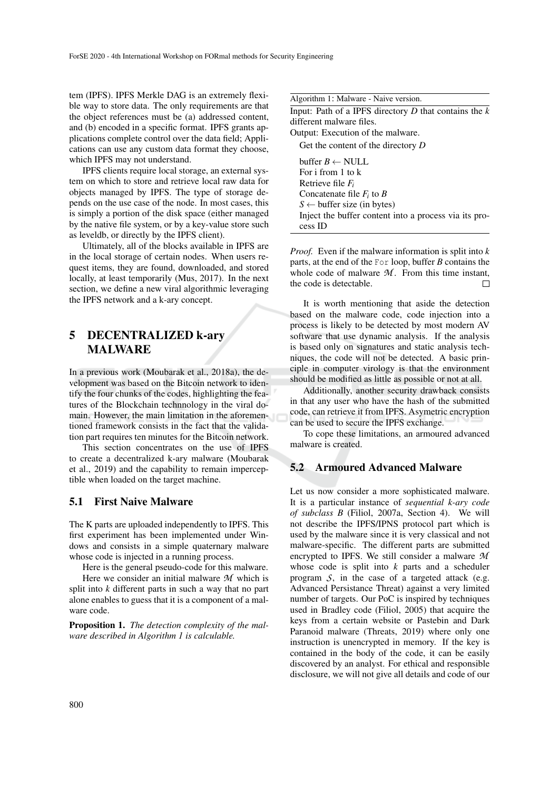tem (IPFS). IPFS Merkle DAG is an extremely flexible way to store data. The only requirements are that the object references must be (a) addressed content, and (b) encoded in a specific format. IPFS grants applications complete control over the data field; Applications can use any custom data format they choose, which IPFS may not understand.

IPFS clients require local storage, an external system on which to store and retrieve local raw data for objects managed by IPFS. The type of storage depends on the use case of the node. In most cases, this is simply a portion of the disk space (either managed by the native file system, or by a key-value store such as leveldb, or directly by the IPFS client).

Ultimately, all of the blocks available in IPFS are in the local storage of certain nodes. When users request items, they are found, downloaded, and stored locally, at least temporarily (Mus, 2017). In the next section, we define a new viral algorithmic leveraging the IPFS network and a k-ary concept.

# 5 DECENTRALIZED k-ary MALWARE

In a previous work (Moubarak et al., 2018a), the development was based on the Bitcoin network to identify the four chunks of the codes, highlighting the features of the Blockchain technnology in the viral domain. However, the main limitation in the aforementioned framework consists in the fact that the validation part requires ten minutes for the Bitcoin network.

This section concentrates on the use of IPFS to create a decentralized k-ary malware (Moubarak et al., 2019) and the capability to remain imperceptible when loaded on the target machine.

#### 5.1 First Naive Malware

The K parts are uploaded independently to IPFS. This first experiment has been implemented under Windows and consists in a simple quaternary malware whose code is injected in a running process.

Here is the general pseudo-code for this malware.

Here we consider an initial malware *M* which is split into *k* different parts in such a way that no part alone enables to guess that it is a component of a malware code.

Proposition 1. *The detection complexity of the malware described in Algorithm 1 is calculable.*

Algorithm 1: Malware - Naive version. Input: Path of a IPFS directory *D* that contains the *k* different malware files. Output: Execution of the malware. Get the content of the directory *D* buffer  $B \leftarrow \text{NULL}$ For i from 1 to k Retrieve file *F<sup>i</sup>* Concatenate file  $F_i$  to  $B$  $S \leftarrow$  buffer size (in bytes) Inject the buffer content into a process via its pro-

*Proof.* Even if the malware information is split into *k* parts, at the end of the For loop, buffer *B* contains the whole code of malware  $M$ . From this time instant, the code is detectable.  $\Box$ 

cess ID

It is worth mentioning that aside the detection based on the malware code, code injection into a process is likely to be detected by most modern AV software that use dynamic analysis. If the analysis is based only on signatures and static analysis techniques, the code will not be detected. A basic principle in computer virology is that the environment should be modified as little as possible or not at all.

Additionally, another security drawback consists in that any user who have the hash of the submitted code, can retrieve it from IPFS. Asymetric encryption can be used to secure the IPFS exchange.

To cope these limitations, an armoured advanced malware is created.

#### 5.2 Armoured Advanced Malware

Let us now consider a more sophisticated malware. It is a particular instance of *sequential k-ary code of subclass B* (Filiol, 2007a, Section 4). We will not describe the IPFS/IPNS protocol part which is used by the malware since it is very classical and not malware-specific. The different parts are submitted encrypted to IPFS. We still consider a malware *M* whose code is split into *k* parts and a scheduler program *S*, in the case of a targeted attack (e.g. Advanced Persistance Threat) against a very limited number of targets. Our PoC is inspired by techniques used in Bradley code (Filiol, 2005) that acquire the keys from a certain website or Pastebin and Dark Paranoid malware (Threats, 2019) where only one instruction is unencrypted in memory. If the key is contained in the body of the code, it can be easily discovered by an analyst. For ethical and responsible disclosure, we will not give all details and code of our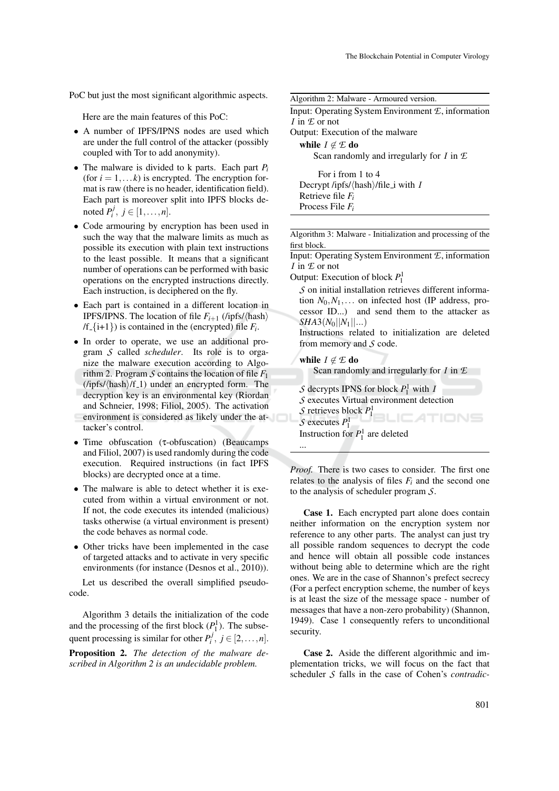PoC but just the most significant algorithmic aspects.

Here are the main features of this PoC:

- A number of IPFS/IPNS nodes are used which are under the full control of the attacker (possibly coupled with Tor to add anonymity).
- The malware is divided to k parts. Each part *P<sup>i</sup>* (for  $i = 1,...k$ ) is encrypted. The encryption format is raw (there is no header, identification field). Each part is moreover split into IPFS blocks denoted  $P_i^j$ ,  $j \in [1, \ldots, n]$ .
- Code armouring by encryption has been used in such the way that the malware limits as much as possible its execution with plain text instructions to the least possible. It means that a significant number of operations can be performed with basic operations on the encrypted instructions directly. Each instruction, is deciphered on the fly.
- Each part is contained in a different location in **IPFS/IPNS.** The location of file  $F_{i+1}$  (/ipfs/ $\langle$ hash $\rangle$  $/F_{-}\{i+1\}$ ) is contained in the (encrypted) file  $F_i$ .
- In order to operate, we use an additional program *S* called *scheduler*. Its role is to organize the malware execution according to Algorithm 2. Program *S* contains the location of file  $F_1$  $(ipfs/\hbox{hash})/f_1$ ) under an encrypted form. The decryption key is an environmental key (Riordan and Schneier, 1998; Filiol, 2005). The activation environment is considered as likely under the attacker's control.
- Time obfuscation (τ-obfuscation) (Beaucamps and Filiol, 2007) is used randomly during the code execution. Required instructions (in fact IPFS blocks) are decrypted once at a time.
- The malware is able to detect whether it is executed from within a virtual environment or not. If not, the code executes its intended (malicious) tasks otherwise (a virtual environment is present) the code behaves as normal code.
- Other tricks have been implemented in the case of targeted attacks and to activate in very specific environments (for instance (Desnos et al., 2010)).

Let us described the overall simplified pseudocode.

Algorithm 3 details the initialization of the code and the processing of the first block  $(P_1^1)$ . The subsequent processing is similar for other  $P_i^j$ ,  $j \in [2, ..., n]$ . Proposition 2. *The detection of the malware described in Algorithm 2 is an undecidable problem.*

Algorithm 2: Malware - Armoured version.

Input: Operating System Environment *E*, information *I* in *E* or not

Output: Execution of the malware while  $I \notin \mathcal{E}$  do

Scan randomly and irregularly for *I* in *E*

For i from 1 to 4 Decrypt /ipfs/ $\langle$ hash $\rangle$ /file *i* with *I* Retrieve file *F<sup>i</sup>* Process File *F<sup>i</sup>*

Algorithm 3: Malware - Initialization and processing of the first block.

Input: Operating System Environment *E*, information *I* in *E* or not

Output: Execution of block *P* 1 1

*S* on initial installation retrieves different information  $N_0, N_1, \ldots$  on infected host (IP address, processor ID...) and send them to the attacker as *SHA*3(*N*0||*N*1||...)

Instructions related to initialization are deleted from memory and *S* code.

while  $I \notin \mathcal{I}$  do

Scan randomly and irregularly for *I* in *E*

ATIONS

- $S$  decrypts IPNS for block  $P_1^1$  with *I*
- *S* executes Virtual environment detection

*S* retrieves block *P* 1 1

...

*S* executes *P* 1 1

Instruction for  $P_1^1$  are deleted

*Proof.* There is two cases to consider. The first one relates to the analysis of files  $F_i$  and the second one to the analysis of scheduler program *S*.

Case 1. Each encrypted part alone does contain neither information on the encryption system nor reference to any other parts. The analyst can just try all possible random sequences to decrypt the code and hence will obtain all possible code instances without being able to determine which are the right ones. We are in the case of Shannon's prefect secrecy (For a perfect encryption scheme, the number of keys is at least the size of the message space - number of messages that have a non-zero probability) (Shannon, 1949). Case 1 consequently refers to unconditional security.

Case 2. Aside the different algorithmic and implementation tricks, we will focus on the fact that scheduler *S* falls in the case of Cohen's *contradic-*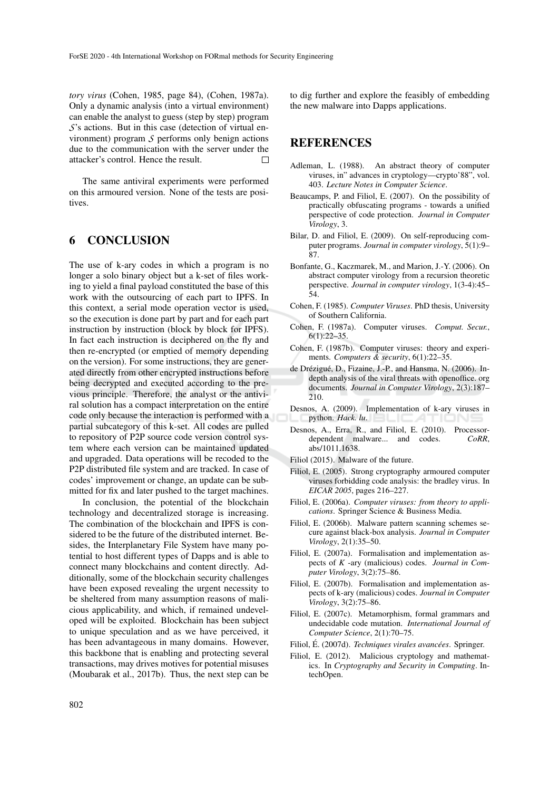*tory virus* (Cohen, 1985, page 84), (Cohen, 1987a). Only a dynamic analysis (into a virtual environment) can enable the analyst to guess (step by step) program *S*'s actions. But in this case (detection of virtual environment) program *S* performs only benign actions due to the communication with the server under the attacker's control. Hence the result.  $\Box$ 

The same antiviral experiments were performed on this armoured version. None of the tests are positives.

### 6 CONCLUSION

The use of k-ary codes in which a program is no longer a solo binary object but a k-set of files working to yield a final payload constituted the base of this work with the outsourcing of each part to IPFS. In this context, a serial mode operation vector is used, so the execution is done part by part and for each part instruction by instruction (block by block for IPFS). In fact each instruction is deciphered on the fly and then re-encrypted (or emptied of memory depending on the version). For some instructions, they are generated directly from other encrypted instructions before being decrypted and executed according to the previous principle. Therefore, the analyst or the antiviral solution has a compact interpretation on the entire code only because the interaction is performed with a partial subcategory of this k-set. All codes are pulled to repository of P2P source code version control system where each version can be maintained updated and upgraded. Data operations will be recoded to the P2P distributed file system and are tracked. In case of codes' improvement or change, an update can be submitted for fix and later pushed to the target machines.

In conclusion, the potential of the blockchain technology and decentralized storage is increasing. The combination of the blockchain and IPFS is considered to be the future of the distributed internet. Besides, the Interplanetary File System have many potential to host different types of Dapps and is able to connect many blockchains and content directly. Additionally, some of the blockchain security challenges have been exposed revealing the urgent necessity to be sheltered from many assumption reasons of malicious applicability, and which, if remained undeveloped will be exploited. Blockchain has been subject to unique speculation and as we have perceived, it has been advantageous in many domains. However, this backbone that is enabling and protecting several transactions, may drives motives for potential misuses (Moubarak et al., 2017b). Thus, the next step can be to dig further and explore the feasibly of embedding the new malware into Dapps applications.

#### **REFERENCES**

- Adleman, L. (1988). An abstract theory of computer viruses, in" advances in cryptology—crypto'88", vol. 403. *Lecture Notes in Computer Science*.
- Beaucamps, P. and Filiol, E. (2007). On the possibility of practically obfuscating programs - towards a unified perspective of code protection. *Journal in Computer Virology*, 3.
- Bilar, D. and Filiol, E. (2009). On self-reproducing computer programs. *Journal in computer virology*, 5(1):9– 87.
- Bonfante, G., Kaczmarek, M., and Marion, J.-Y. (2006). On abstract computer virology from a recursion theoretic perspective. *Journal in computer virology*, 1(3-4):45– 54.
- Cohen, F. (1985). *Computer Viruses*. PhD thesis, University of Southern California.
- Cohen, F. (1987a). Computer viruses. *Comput. Secur.*, 6(1):22–35.
- Cohen, F. (1987b). Computer viruses: theory and experiments. *Computers & security*, 6(1):22–35.
- de Drézigué, D., Fizaine, J.-P., and Hansma, N. (2006). Indepth analysis of the viral threats with openoffice. org documents. *Journal in Computer Virology*, 2(3):187– 210.
- Desnos, A. (2009). Implementation of k-ary viruses in python. *Hack. lu*.
- Desnos, A., Erra, R., and Filiol, E. (2010). Processordependent malware... and codes. *CoRR*, abs/1011.1638.
- Filiol (2015). Malware of the future.
- Filiol, E. (2005). Strong cryptography armoured computer viruses forbidding code analysis: the bradley virus. In *EICAR 2005*, pages 216–227.
- Filiol, E. (2006a). *Computer viruses: from theory to applications*. Springer Science & Business Media.
- Filiol, E. (2006b). Malware pattern scanning schemes secure against black-box analysis. *Journal in Computer Virology*, 2(1):35–50.
- Filiol, E. (2007a). Formalisation and implementation aspects of *K* -ary (malicious) codes. *Journal in Computer Virology*, 3(2):75–86.
- Filiol, E. (2007b). Formalisation and implementation aspects of k-ary (malicious) codes. *Journal in Computer Virology*, 3(2):75–86.
- Filiol, E. (2007c). Metamorphism, formal grammars and undecidable code mutation. *International Journal of Computer Science*, 2(1):70–75.
- Filiol, É. (2007d). Techniques virales avancées. Springer.
- Filiol, E. (2012). Malicious cryptology and mathematics. In *Cryptography and Security in Computing*. IntechOpen.